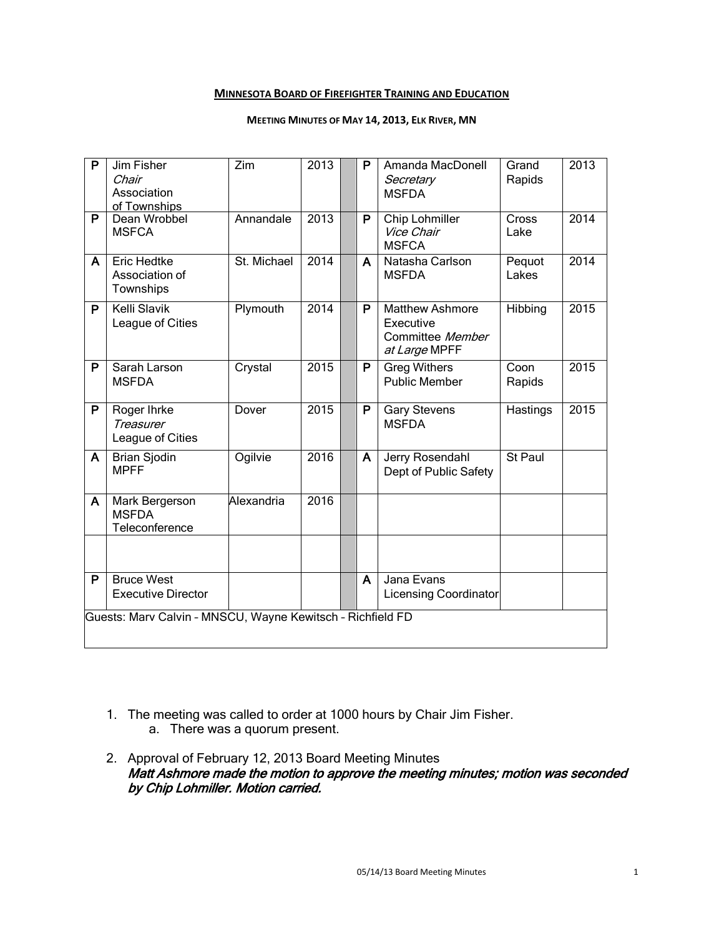#### **MINNESOTA BOARD OF FIREFIGHTER TRAINING AND EDUCATION**

#### **MEETING MINUTES OF MAY 14, 2013, ELK RIVER, MN**

| P                                                          | Jim Fisher<br>Chair<br>Association<br>of Townships | Zim         | 2013 |  | P | Amanda MacDonell<br>Secretary<br><b>MSFDA</b>                            | Grand<br>Rapids | 2013 |
|------------------------------------------------------------|----------------------------------------------------|-------------|------|--|---|--------------------------------------------------------------------------|-----------------|------|
| $\overline{P}$                                             | Dean Wrobbel<br><b>MSFCA</b>                       | Annandale   | 2013 |  | P | Chip Lohmiller<br>Vice Chair<br><b>MSFCA</b>                             | Cross<br>Lake   | 2014 |
| A                                                          | <b>Eric Hedtke</b><br>Association of<br>Townships  | St. Michael | 2014 |  | A | Natasha Carlson<br><b>MSFDA</b>                                          | Pequot<br>Lakes | 2014 |
| P                                                          | <b>Kelli Slavik</b><br>League of Cities            | Plymouth    | 2014 |  | P | <b>Matthew Ashmore</b><br>Executive<br>Committee Member<br>at Large MPFF | Hibbing         | 2015 |
| P                                                          | Sarah Larson<br><b>MSFDA</b>                       | Crystal     | 2015 |  | P | <b>Greg Withers</b><br><b>Public Member</b>                              | Coon<br>Rapids  | 2015 |
| P                                                          | Roger Ihrke<br>Treasurer<br>League of Cities       | Dover       | 2015 |  | P | <b>Gary Stevens</b><br><b>MSFDA</b>                                      | Hastings        | 2015 |
| A                                                          | Brian Sjodin<br><b>MPFF</b>                        | Ogilvie     | 2016 |  | A | Jerry Rosendahl<br>Dept of Public Safety                                 | St Paul         |      |
| A                                                          | Mark Bergerson<br><b>MSFDA</b><br>Teleconference   | Alexandria  | 2016 |  |   |                                                                          |                 |      |
|                                                            |                                                    |             |      |  |   |                                                                          |                 |      |
| P                                                          | <b>Bruce West</b><br><b>Executive Director</b>     |             |      |  | A | Jana Evans<br><b>Licensing Coordinator</b>                               |                 |      |
| Guests: Marv Calvin - MNSCU, Wayne Kewitsch - Richfield FD |                                                    |             |      |  |   |                                                                          |                 |      |

- 1. The meeting was called to order at 1000 hours by Chair Jim Fisher.
	- a. There was a quorum present.
- 2. Approval of February 12, 2013 Board Meeting Minutes Matt Ashmore made the motion to approve the meeting minutes; motion was seconded by Chip Lohmiller. Motion carried.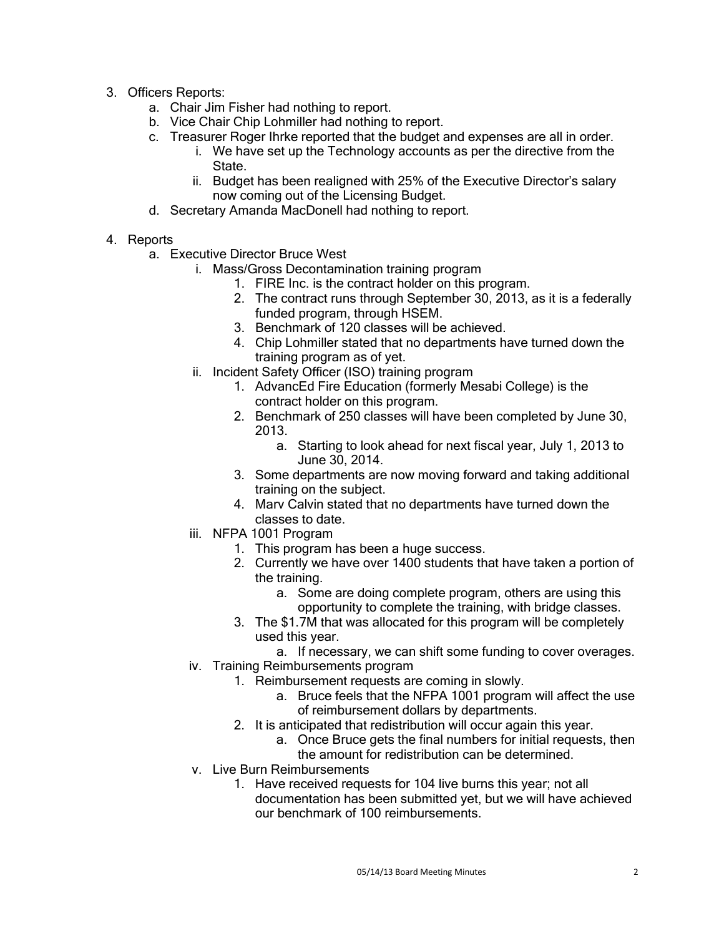- 3. Officers Reports:
	- a. Chair Jim Fisher had nothing to report.
	- b. Vice Chair Chip Lohmiller had nothing to report.
	- c. Treasurer Roger Ihrke reported that the budget and expenses are all in order.
		- i. We have set up the Technology accounts as per the directive from the **State**
		- ii. Budget has been realigned with 25% of the Executive Director's salary now coming out of the Licensing Budget.
	- d. Secretary Amanda MacDonell had nothing to report.
- 4. Reports
	- a. Executive Director Bruce West
		- i. Mass/Gross Decontamination training program
			- 1. FIRE Inc. is the contract holder on this program.
			- 2. The contract runs through September 30, 2013, as it is a federally funded program, through HSEM.
			- 3. Benchmark of 120 classes will be achieved.
			- 4. Chip Lohmiller stated that no departments have turned down the training program as of yet.
		- ii. Incident Safety Officer (ISO) training program
			- 1. AdvancEd Fire Education (formerly Mesabi College) is the contract holder on this program.
			- 2. Benchmark of 250 classes will have been completed by June 30, 2013.
				- a. Starting to look ahead for next fiscal year, July 1, 2013 to June 30, 2014.
			- 3. Some departments are now moving forward and taking additional training on the subject.
			- 4. Marv Calvin stated that no departments have turned down the classes to date.
		- iii. NFPA 1001 Program
			- 1. This program has been a huge success.
			- 2. Currently we have over 1400 students that have taken a portion of the training.
				- a. Some are doing complete program, others are using this opportunity to complete the training, with bridge classes.
			- 3. The \$1.7M that was allocated for this program will be completely used this year.
				- a. If necessary, we can shift some funding to cover overages.
		- iv. Training Reimbursements program
			- 1. Reimbursement requests are coming in slowly.
				- a. Bruce feels that the NFPA 1001 program will affect the use of reimbursement dollars by departments.
			- 2. It is anticipated that redistribution will occur again this year.
				- a. Once Bruce gets the final numbers for initial requests, then the amount for redistribution can be determined.
		- v. Live Burn Reimbursements
			- 1. Have received requests for 104 live burns this year; not all documentation has been submitted yet, but we will have achieved our benchmark of 100 reimbursements.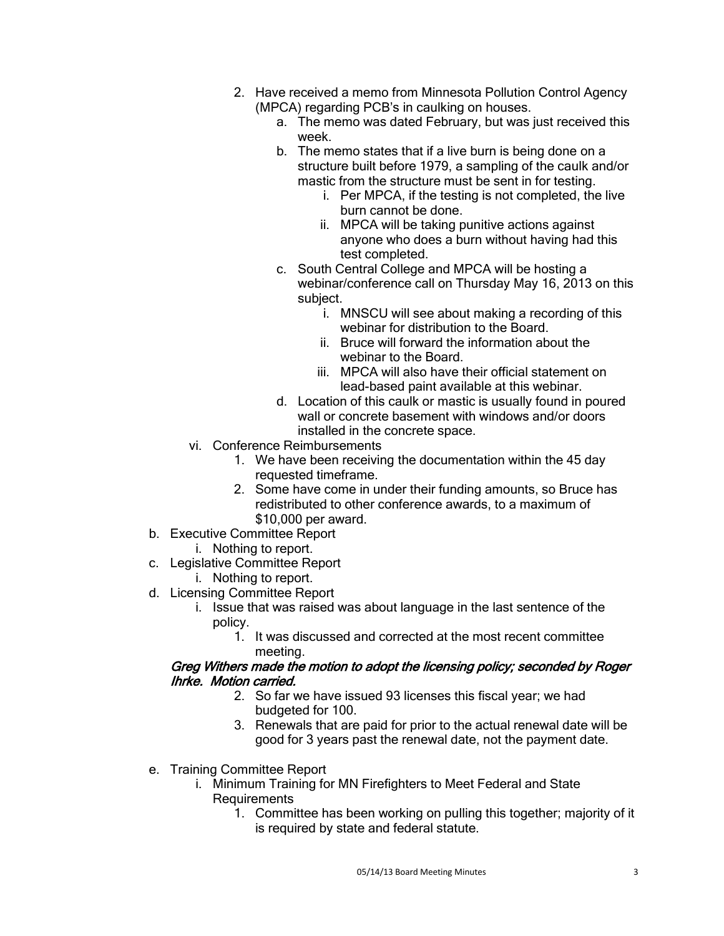- 2. Have received a memo from Minnesota Pollution Control Agency (MPCA) regarding PCB's in caulking on houses.
	- a. The memo was dated February, but was just received this week.
	- b. The memo states that if a live burn is being done on a structure built before 1979, a sampling of the caulk and/or mastic from the structure must be sent in for testing.
		- i. Per MPCA, if the testing is not completed, the live burn cannot be done.
		- ii. MPCA will be taking punitive actions against anyone who does a burn without having had this test completed.
	- c. South Central College and MPCA will be hosting a webinar/conference call on Thursday May 16, 2013 on this subject.
		- i. MNSCU will see about making a recording of this webinar for distribution to the Board.
		- ii. Bruce will forward the information about the webinar to the Board.
		- iii. MPCA will also have their official statement on lead-based paint available at this webinar.
	- d. Location of this caulk or mastic is usually found in poured wall or concrete basement with windows and/or doors installed in the concrete space.
- vi. Conference Reimbursements
	- 1. We have been receiving the documentation within the 45 day requested timeframe.
	- 2. Some have come in under their funding amounts, so Bruce has redistributed to other conference awards, to a maximum of \$10,000 per award.
- b. Executive Committee Report
	- i. Nothing to report.
- c. Legislative Committee Report
	- i. Nothing to report.
- d. Licensing Committee Report
	- i. Issue that was raised was about language in the last sentence of the policy.
		- 1. It was discussed and corrected at the most recent committee meeting.

# Greg Withers made the motion to adopt the licensing policy; seconded by Roger Ihrke. Motion carried.

- 2. So far we have issued 93 licenses this fiscal year; we had budgeted for 100.
- 3. Renewals that are paid for prior to the actual renewal date will be good for 3 years past the renewal date, not the payment date.
- e. Training Committee Report
	- i. Minimum Training for MN Firefighters to Meet Federal and State **Requirements** 
		- 1. Committee has been working on pulling this together; majority of it is required by state and federal statute.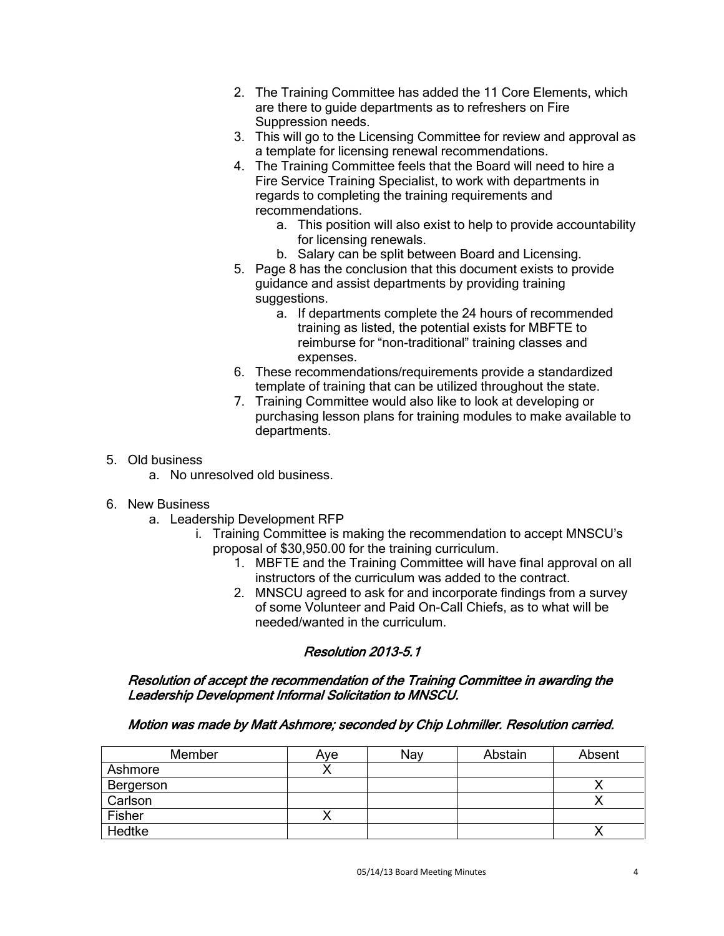- 2. The Training Committee has added the 11 Core Elements, which are there to guide departments as to refreshers on Fire Suppression needs.
- 3. This will go to the Licensing Committee for review and approval as a template for licensing renewal recommendations.
- 4. The Training Committee feels that the Board will need to hire a Fire Service Training Specialist, to work with departments in regards to completing the training requirements and recommendations.
	- a. This position will also exist to help to provide accountability for licensing renewals.
	- b. Salary can be split between Board and Licensing.
- 5. Page 8 has the conclusion that this document exists to provide guidance and assist departments by providing training suggestions.
	- a. If departments complete the 24 hours of recommended training as listed, the potential exists for MBFTE to reimburse for "non-traditional" training classes and expenses.
- 6. These recommendations/requirements provide a standardized template of training that can be utilized throughout the state.
- 7. Training Committee would also like to look at developing or purchasing lesson plans for training modules to make available to departments.

# 5. Old business

a. No unresolved old business.

# 6. New Business

- a. Leadership Development RFP
	- i. Training Committee is making the recommendation to accept MNSCU's proposal of \$30,950.00 for the training curriculum.
		- 1. MBFTE and the Training Committee will have final approval on all instructors of the curriculum was added to the contract.
		- 2. MNSCU agreed to ask for and incorporate findings from a survey of some Volunteer and Paid On-Call Chiefs, as to what will be needed/wanted in the curriculum.

# Resolution 2013-5.1

# Resolution of accept the recommendation of the Training Committee in awarding the Leadership Development Informal Solicitation to MNSCU.

# Motion was made by Matt Ashmore; seconded by Chip Lohmiller. Resolution carried.

| Member    | Ave | Nav | Abstain | Absent |
|-----------|-----|-----|---------|--------|
| Ashmore   |     |     |         |        |
| Bergerson |     |     |         |        |
| Carlson   |     |     |         |        |
| Fisher    |     |     |         |        |
| Hedtke    |     |     |         |        |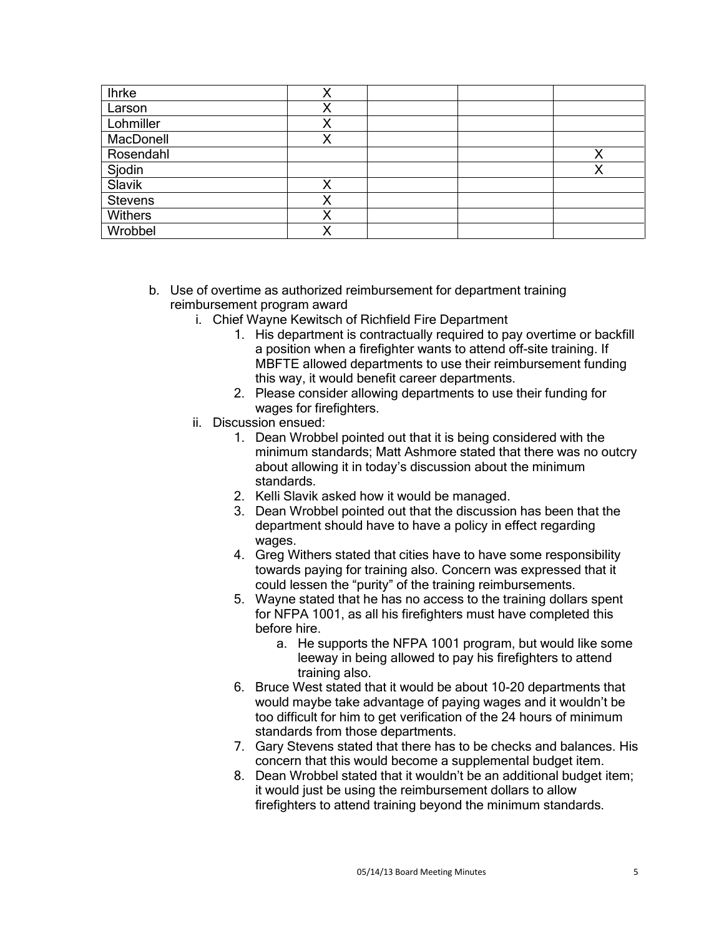| <b>Ihrke</b>     | v |  |   |
|------------------|---|--|---|
| Larson           |   |  |   |
| Lohmiller        |   |  |   |
| MacDonell        |   |  |   |
| Rosendahl        |   |  | ◡ |
| Sjodin<br>Slavik |   |  | х |
|                  |   |  |   |
| Stevens          |   |  |   |
| Withers          |   |  |   |
| Wrobbel          | v |  |   |

- b. Use of overtime as authorized reimbursement for department training reimbursement program award
	- i. Chief Wayne Kewitsch of Richfield Fire Department
		- 1. His department is contractually required to pay overtime or backfill a position when a firefighter wants to attend off-site training. If MBFTE allowed departments to use their reimbursement funding this way, it would benefit career departments.
		- 2. Please consider allowing departments to use their funding for wages for firefighters.
	- ii. Discussion ensued:
		- 1. Dean Wrobbel pointed out that it is being considered with the minimum standards; Matt Ashmore stated that there was no outcry about allowing it in today's discussion about the minimum standards.
		- 2. Kelli Slavik asked how it would be managed.
		- 3. Dean Wrobbel pointed out that the discussion has been that the department should have to have a policy in effect regarding wages.
		- 4. Greg Withers stated that cities have to have some responsibility towards paying for training also. Concern was expressed that it could lessen the "purity" of the training reimbursements.
		- 5. Wayne stated that he has no access to the training dollars spent for NFPA 1001, as all his firefighters must have completed this before hire.
			- a. He supports the NFPA 1001 program, but would like some leeway in being allowed to pay his firefighters to attend training also.
		- 6. Bruce West stated that it would be about 10-20 departments that would maybe take advantage of paying wages and it wouldn't be too difficult for him to get verification of the 24 hours of minimum standards from those departments.
		- 7. Gary Stevens stated that there has to be checks and balances. His concern that this would become a supplemental budget item.
		- 8. Dean Wrobbel stated that it wouldn't be an additional budget item; it would just be using the reimbursement dollars to allow firefighters to attend training beyond the minimum standards.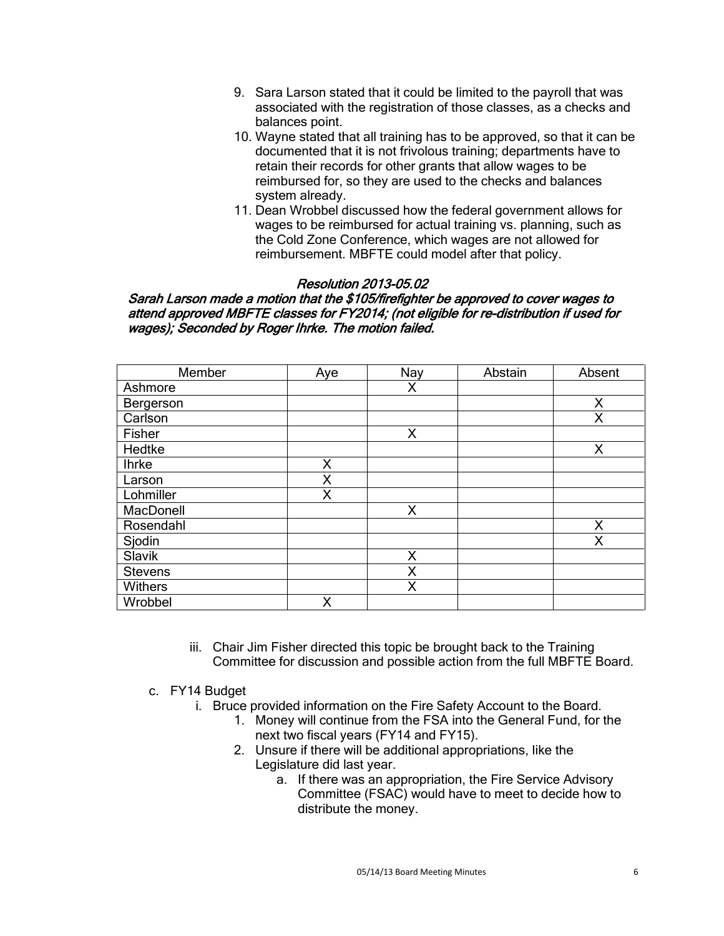- 9. Sara Larson stated that it could be limited to the payroll that was associated with the registration of those classes, as a checks and balances point.
- 10. Wayne stated that all training has to be approved, so that it can be documented that it is not frivolous training; departments have to retain their records for other grants that allow wages to be reimbursed for, so they are used to the checks and balances system already.
- 11. Dean Wrobbel discussed how the federal government allows for wages to be reimbursed for actual training vs. planning, such as the Cold Zone Conference, which wages are not allowed for reimbursement. MBFTE could model after that policy.

# Resolution 2013-05.02

# Sarah Larson made a motion that the \$105/firefighter be approved to cover wages to attend approved MBFTE classes for FY2014; (not eligible for re-distribution if used for wages); Seconded by Roger Ihrke. The motion failed.

| Member         | Aye | Nay | Abstain | Absent |
|----------------|-----|-----|---------|--------|
| Ashmore        |     | X   |         |        |
| Bergerson      |     |     |         | X      |
| Carlson        |     |     |         | Χ      |
| Fisher         |     | X   |         |        |
| Hedtke         |     |     |         | X      |
| <b>Ihrke</b>   | X   |     |         |        |
| Larson         | X   |     |         |        |
| Lohmiller      | X   |     |         |        |
| MacDonell      |     | X   |         |        |
| Rosendahl      |     |     |         | X      |
| Sjodin         |     |     |         | X      |
| Slavik         |     | X   |         |        |
| <b>Stevens</b> |     | Χ   |         |        |
| Withers        |     | X   |         |        |
| Wrobbel        | X   |     |         |        |

- iii. Chair Jim Fisher directed this topic be brought back to the Training Committee for discussion and possible action from the full MBFTE Board.
- c. FY14 Budget
	- i. Bruce provided information on the Fire Safety Account to the Board.
		- 1. Money will continue from the FSA into the General Fund, for the next two fiscal years (FY14 and FY15).
		- 2. Unsure if there will be additional appropriations, like the Legislature did last year.
			- a. If there was an appropriation, the Fire Service Advisory Committee (FSAC) would have to meet to decide how to distribute the money.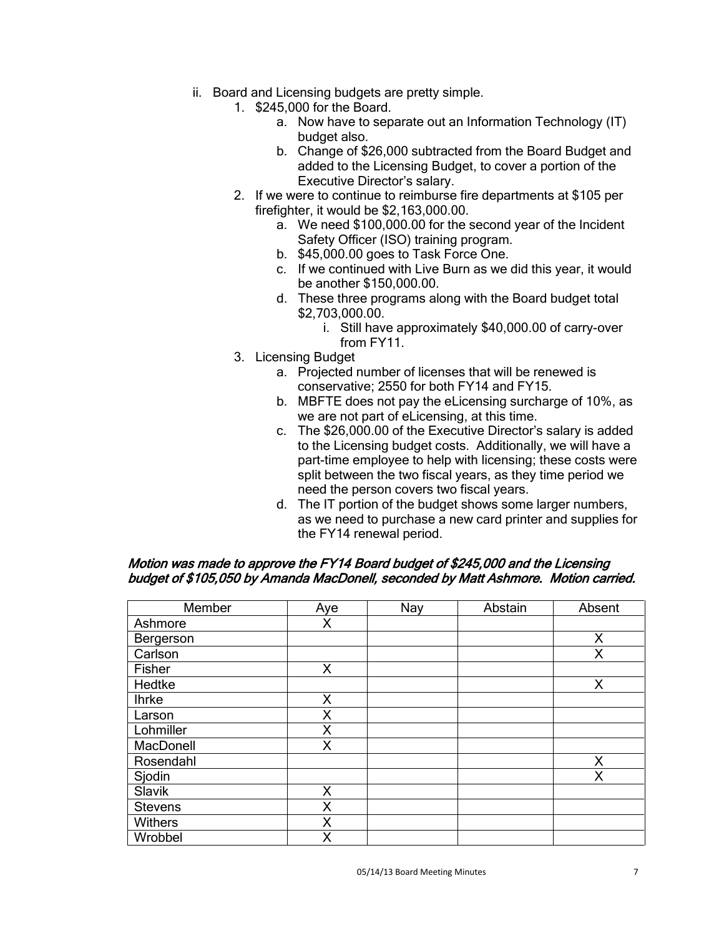- ii. Board and Licensing budgets are pretty simple.
	- 1. \$245,000 for the Board.
		- a. Now have to separate out an Information Technology (IT) budget also.
		- b. Change of \$26,000 subtracted from the Board Budget and added to the Licensing Budget, to cover a portion of the Executive Director's salary.
	- 2. If we were to continue to reimburse fire departments at \$105 per firefighter, it would be \$2,163,000.00.
		- a. We need \$100,000.00 for the second year of the Incident Safety Officer (ISO) training program.
		- b. \$45,000.00 goes to Task Force One.
		- c. If we continued with Live Burn as we did this year, it would be another \$150,000.00.
		- d. These three programs along with the Board budget total \$2,703,000.00.
			- i. Still have approximately \$40,000.00 of carry-over from FY11.
	- 3. Licensing Budget
		- a. Projected number of licenses that will be renewed is conservative; 2550 for both FY14 and FY15.
		- b. MBFTE does not pay the eLicensing surcharge of 10%, as we are not part of eLicensing, at this time.
		- c. The \$26,000.00 of the Executive Director's salary is added to the Licensing budget costs. Additionally, we will have a part-time employee to help with licensing; these costs were split between the two fiscal years, as they time period we need the person covers two fiscal years.
		- d. The IT portion of the budget shows some larger numbers, as we need to purchase a new card printer and supplies for the FY14 renewal period.

| Member         | Aye | Nay | Abstain | Absent |
|----------------|-----|-----|---------|--------|
| Ashmore        | X   |     |         |        |
| Bergerson      |     |     |         | X      |
| Carlson        |     |     |         | X      |
| Fisher         | X   |     |         |        |
| Hedtke         |     |     |         | X      |
| <b>Ihrke</b>   | X   |     |         |        |
| Larson         | X   |     |         |        |
| Lohmiller      | X   |     |         |        |
| MacDonell      | X   |     |         |        |
| Rosendahl      |     |     |         | Χ      |
| Sjodin         |     |     |         | X      |
| Slavik         | X   |     |         |        |
| <b>Stevens</b> | X   |     |         |        |
| Withers        | X   |     |         |        |
| Wrobbel        | X   |     |         |        |

#### Motion was made to approve the FY14 Board budget of \$245,000 and the Licensing budget of \$105,050 by Amanda MacDonell, seconded by Matt Ashmore. Motion carried.